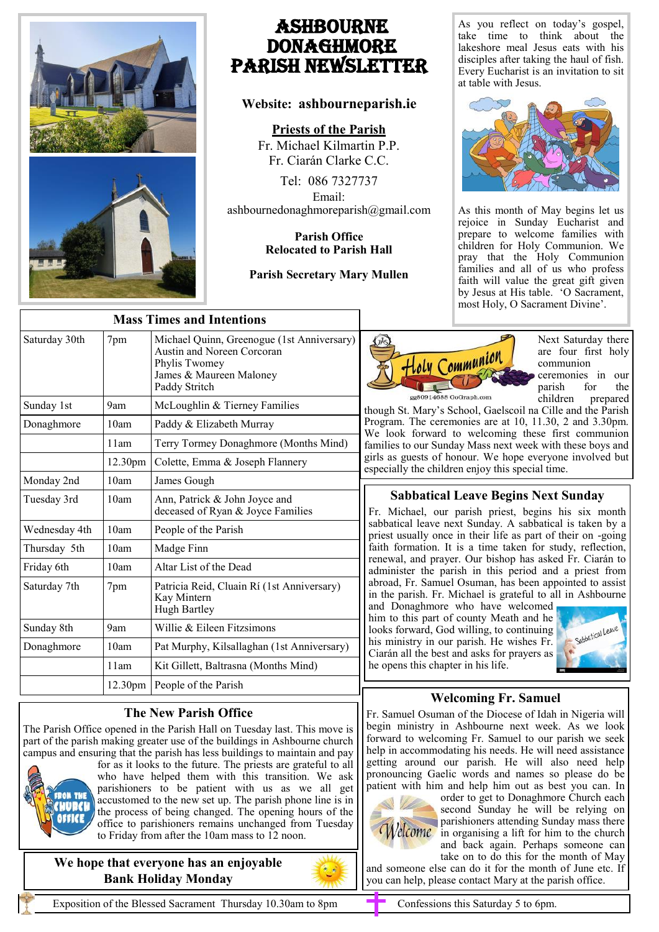

# Ashbourne **DONAGHMORE** Parish NEWSLETTER

## **Website: ashbourneparish.ie**

### **Priests of the Parish**

Fr. Michael Kilmartin P.P. Fr. Ciarán Clarke C.C.

Tel: 086 7327737 Email: ashbournedonaghmoreparish@gmail.com

### **Parish Office Relocated to Parish Hall**

### **Parish Secretary Mary Mullen**

As you reflect on today's gospel, take time to think about the lakeshore meal Jesus eats with his disciples after taking the haul of fish. Every Eucharist is an invitation to sit at table with Jesus.



As this month of May begins let us rejoice in Sunday Eucharist and prepare to welcome families with children for Holy Communion. We pray that the Holy Communion families and all of us who profess faith will value the great gift given by Jesus at His table. 'O Sacrament, most Holy, O Sacrament Divine'.

| <b>Mass Times and Intentions</b> |                     |                                                                                                                                       |  |
|----------------------------------|---------------------|---------------------------------------------------------------------------------------------------------------------------------------|--|
| Saturday 30th                    | 7pm                 | Michael Quinn, Greenogue (1st Anniversary)<br>Austin and Noreen Corcoran<br>Phylis Twomey<br>James & Maureen Maloney<br>Paddy Stritch |  |
| Sunday 1st                       | 9am                 | McLoughlin & Tierney Families                                                                                                         |  |
| Donaghmore                       | 10am                | Paddy & Elizabeth Murray                                                                                                              |  |
|                                  | 11am                | Terry Tormey Donaghmore (Months Mind)                                                                                                 |  |
|                                  | 12.30 <sub>pm</sub> | Colette, Emma & Joseph Flannery                                                                                                       |  |
| Monday 2nd                       | 10am                | James Gough                                                                                                                           |  |
| Tuesday 3rd                      | 10am                | Ann, Patrick & John Joyce and<br>deceased of Ryan & Joyce Families                                                                    |  |
| Wednesday 4th                    | 10am                | People of the Parish                                                                                                                  |  |
| Thursday 5th                     | 10am                | Madge Finn                                                                                                                            |  |
| Friday 6th                       | 10am                | Altar List of the Dead                                                                                                                |  |
| Saturday 7th                     | 7pm                 | Patricia Reid, Cluain Rí (1st Anniversary)<br>Kay Mintern<br><b>Hugh Bartley</b>                                                      |  |
| Sunday 8th                       | 9am                 | Willie & Eileen Fitzsimons                                                                                                            |  |
| Donaghmore                       | 10am                | Pat Murphy, Kilsallaghan (1st Anniversary)                                                                                            |  |
|                                  | 11am                | Kit Gillett, Baltrasna (Months Mind)                                                                                                  |  |
|                                  | 12.30 <sub>pm</sub> | People of the Parish                                                                                                                  |  |

## **The New Parish Office**

The Parish Office opened in the Parish Hall on Tuesday last. This move is part of the parish making greater use of the buildings in Ashbourne church campus and ensuring that the parish has less buildings to maintain and pay



for as it looks to the future. The priests are grateful to all who have helped them with this transition. We ask parishioners to be patient with us as we all get accustomed to the new set up. The parish phone line is in the process of being changed. The opening hours of the office to parishioners remains unchanged from Tuesday to Friday from after the 10am mass to 12 noon.

**We hope that everyone has an enjoyable Bank Holiday Monday**



Next Saturday there are four first holy communion ceremonies in our parish for the children prepared

though St. Mary's School, Gaelscoil na Cille and the Parish Program. The ceremonies are at 10, 11.30, 2 and 3.30pm. We look forward to welcoming these first communion families to our Sunday Mass next week with these boys and girls as guests of honour. We hope everyone involved but especially the children enjoy this special time.

## **Sabbatical Leave Begins Next Sunday**

Fr. Michael, our parish priest, begins his six month sabbatical leave next Sunday. A sabbatical is taken by a priest usually once in their life as part of their on -going faith formation. It is a time taken for study, reflection, renewal, and prayer. Our bishop has asked Fr. Ciarán to administer the parish in this period and a priest from abroad, Fr. Samuel Osuman, has been appointed to assist in the parish. Fr. Michael is grateful to all in Ashbourne

and Donaghmore who have welcomed him to this part of county Meath and he looks forward, God willing, to continuing his ministry in our parish. He wishes Fr. Ciarán all the best and asks for prayers as he opens this chapter in his life.



## **Welcoming Fr. Samuel**

Fr. Samuel Osuman of the Diocese of Idah in Nigeria will begin ministry in Ashbourne next week. As we look forward to welcoming Fr. Samuel to our parish we seek help in accommodating his needs. He will need assistance getting around our parish. He will also need help pronouncing Gaelic words and names so please do be patient with him and help him out as best you can. In



order to get to Donaghmore Church each second Sunday he will be relying on parishioners attending Sunday mass there  $We**come**$  in organising a lift for him to the church and back again. Perhaps someone can take on to do this for the month of May

and someone else can do it for the month of June etc. If you can help, please contact Mary at the parish office.